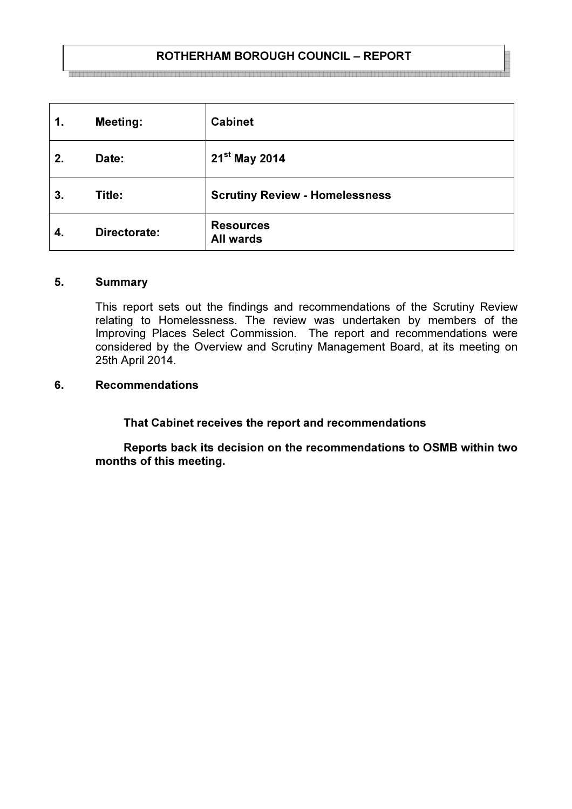# ROTHERHAM BOROUGH COUNCIL – REPORT

| 1. | <b>Meeting:</b> | <b>Cabinet</b>                        |
|----|-----------------|---------------------------------------|
| 2. | Date:           | $21^{st}$ May 2014                    |
| 3. | Title:          | <b>Scrutiny Review - Homelessness</b> |
| 4. | Directorate:    | <b>Resources</b><br><b>All wards</b>  |

#### 5. Summary

This report sets out the findings and recommendations of the Scrutiny Review relating to Homelessness. The review was undertaken by members of the Improving Places Select Commission. The report and recommendations were considered by the Overview and Scrutiny Management Board, at its meeting on 25th April 2014.

### 6. Recommendations

That Cabinet receives the report and recommendations

 Reports back its decision on the recommendations to OSMB within two months of this meeting.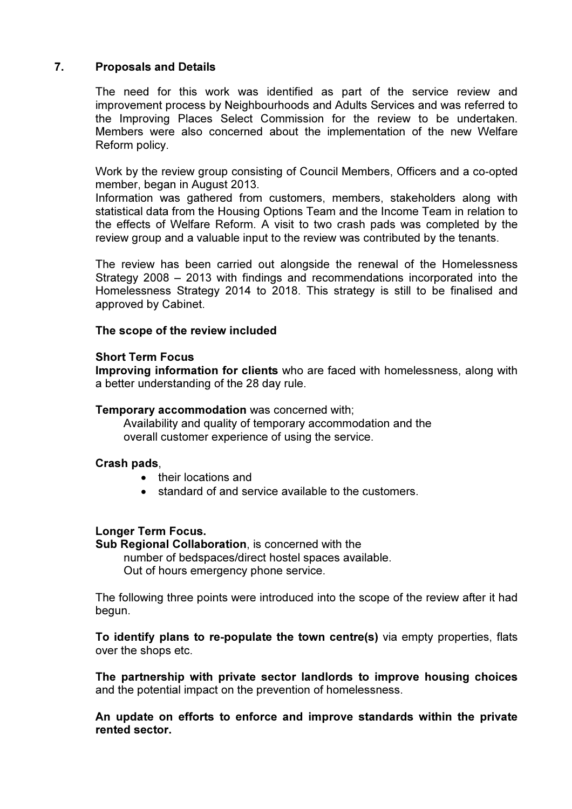# 7. Proposals and Details

The need for this work was identified as part of the service review and improvement process by Neighbourhoods and Adults Services and was referred to the Improving Places Select Commission for the review to be undertaken. Members were also concerned about the implementation of the new Welfare Reform policy.

Work by the review group consisting of Council Members, Officers and a co-opted member, began in August 2013.

Information was gathered from customers, members, stakeholders along with statistical data from the Housing Options Team and the Income Team in relation to the effects of Welfare Reform. A visit to two crash pads was completed by the review group and a valuable input to the review was contributed by the tenants.

The review has been carried out alongside the renewal of the Homelessness Strategy 2008 – 2013 with findings and recommendations incorporated into the Homelessness Strategy 2014 to 2018. This strategy is still to be finalised and approved by Cabinet.

### The scope of the review included

#### Short Term Focus

Improving information for clients who are faced with homelessness, along with a better understanding of the 28 day rule.

#### Temporary accommodation was concerned with;

 Availability and quality of temporary accommodation and the overall customer experience of using the service.

#### Crash pads,

- their locations and
- standard of and service available to the customers.

## Longer Term Focus.

Sub Regional Collaboration, is concerned with the number of bedspaces/direct hostel spaces available. Out of hours emergency phone service.

The following three points were introduced into the scope of the review after it had begun.

To identify plans to re-populate the town centre(s) via empty properties, flats over the shops etc.

The partnership with private sector landlords to improve housing choices and the potential impact on the prevention of homelessness.

An update on efforts to enforce and improve standards within the private rented sector.